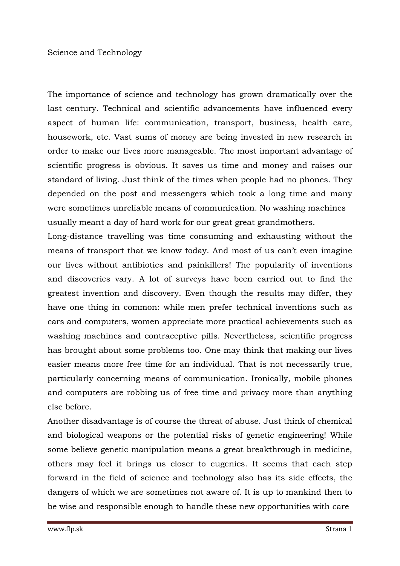Science and Technology

The importance of science and technology has grown dramatically over the last century. Technical and scientific advancements have influenced every aspect of human life: communication, transport, business, health care, housework, etc. Vast sums of money are being invested in new research in order to make our lives more manageable. The most important advantage of scientific progress is obvious. It saves us time and money and raises our standard of living. Just think of the times when people had no phones. They depended on the post and messengers which took a long time and many were sometimes unreliable means of communication. No washing machines usually meant a day of hard work for our great great grandmothers.

Long-distance travelling was time consuming and exhausting without the means of transport that we know today. And most of us can't even imagine our lives without antibiotics and painkillers! The popularity of inventions and discoveries vary. A lot of surveys have been carried out to find the greatest invention and discovery. Even though the results may differ, they have one thing in common: while men prefer technical inventions such as cars and computers, women appreciate more practical achievements such as washing machines and contraceptive pills. Nevertheless, scientific progress has brought about some problems too. One may think that making our lives easier means more free time for an individual. That is not necessarily true, particularly concerning means of communication. Ironically, mobile phones and computers are robbing us of free time and privacy more than anything else before.

Another disadvantage is of course the threat of abuse. Just think of chemical and biological weapons or the potential risks of genetic engineering! While some believe genetic manipulation means a great breakthrough in medicine, others may feel it brings us closer to eugenics. It seems that each step forward in the field of science and technology also has its side effects, the dangers of which we are sometimes not aware of. It is up to mankind then to be wise and responsible enough to handle these new opportunities with care